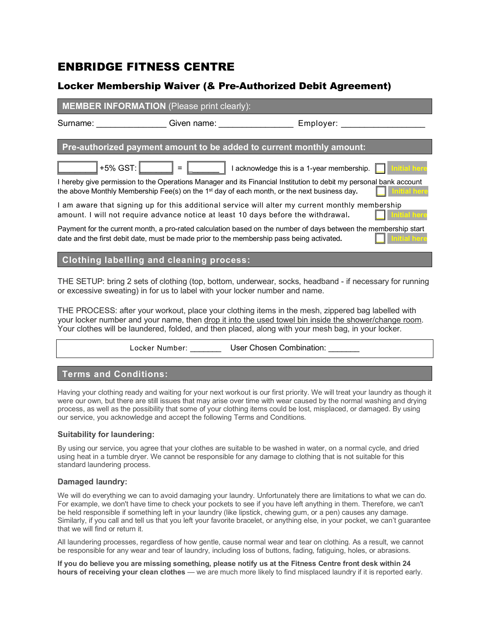# ENBRIDGE FITNESS CENTRE

## Locker Membership Waiver (& Pre-Authorized Debit Agreement)

## **MEMBER INFORMATION** (Please print clearly):

Surname: etc. en ame: Employer:  $\bullet$  Given name: Employer:

**Pre-authorized payment amount to be added to current monthly amount:**

 $\| + 5\%$  GST:  $\|$  =  $\|$  =  $\|$  1 acknowledge this is a 1-year membership.  $\|$ 

I hereby give permission to the Operations Manager and its Financial Institution to debit my personal bank account the above Monthly Membership Fee(s) on the 1<sup>st</sup> day of each month, or the next business day.

I am aware that signing up for this additional service will alter my current monthly membership amount. I will not require advance notice at least 10 days before the withdrawal.

Payment for the current month, a pro-rated calculation based on the number of days between the membership start date and the first debit date, must be made prior to the membership pass being activated.

## **Clothing labelling and cleaning process:**

THE SETUP: bring 2 sets of clothing (top, bottom, underwear, socks, headband - if necessary for running or excessive sweating) in for us to label with your locker number and name.

THE PROCESS: after your workout, place your clothing items in the mesh, zippered bag labelled with your locker number and your name, then drop it into the used towel bin inside the shower/change room. Your clothes will be laundered, folded, and then placed, along with your mesh bag, in your locker.

Locker Number: \_\_\_\_\_\_\_\_\_ User Chosen Combination: \_\_\_

## **Terms and Conditions:**

Having your clothing ready and waiting for your next workout is our first priority. We will treat your laundry as though it were our own, but there are still issues that may arise over time with wear caused by the normal washing and drying process, as well as the possibility that some of your clothing items could be lost, misplaced, or damaged. By using our service, you acknowledge and accept the following Terms and Conditions.

#### **Suitability for laundering:**

By using our service, you agree that your clothes are suitable to be washed in water, on a normal cycle, and dried using heat in a tumble dryer. We cannot be responsible for any damage to clothing that is not suitable for this standard laundering process.

## **Damaged laundry:**

We will do everything we can to avoid damaging your laundry. Unfortunately there are limitations to what we can do. For example, we don't have time to check your pockets to see if you have left anything in them. Therefore, we can't be held responsible if something left in your laundry (like lipstick, chewing gum, or a pen) causes any damage. Similarly, if you call and tell us that you left your favorite bracelet, or anything else, in your pocket, we can't guarantee that we will find or return it.

All laundering processes, regardless of how gentle, cause normal wear and tear on clothing. As a result, we cannot be responsible for any wear and tear of laundry, including loss of buttons, fading, fatiguing, holes, or abrasions.

**If you do believe you are missing something, please notify us at the Fitness Centre front desk within 24 hours of receiving your clean clothes** — we are much more likely to find misplaced laundry if it is reported early.